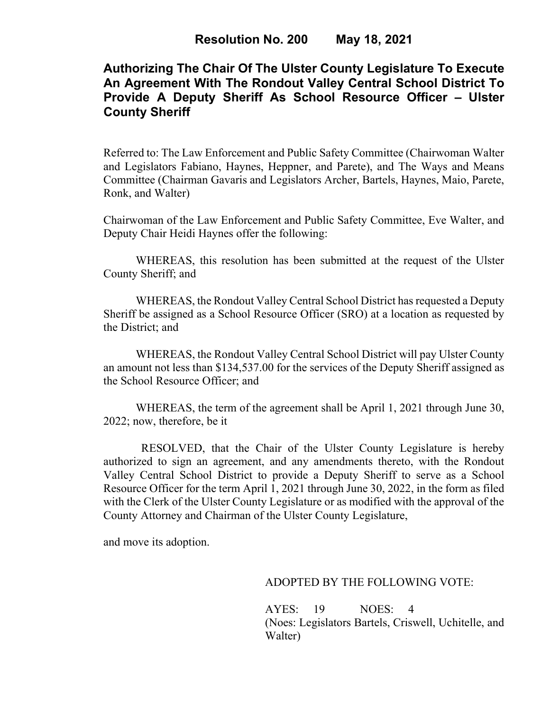# **Authorizing The Chair Of The Ulster County Legislature To Execute An Agreement With The Rondout Valley Central School District To Provide A Deputy Sheriff As School Resource Officer – Ulster County Sheriff**

Referred to: The Law Enforcement and Public Safety Committee (Chairwoman Walter and Legislators Fabiano, Haynes, Heppner, and Parete), and The Ways and Means Committee (Chairman Gavaris and Legislators Archer, Bartels, Haynes, Maio, Parete, Ronk, and Walter)

Chairwoman of the Law Enforcement and Public Safety Committee, Eve Walter, and Deputy Chair Heidi Haynes offer the following:

WHEREAS, this resolution has been submitted at the request of the Ulster County Sheriff; and

WHEREAS, the Rondout Valley Central School District has requested a Deputy Sheriff be assigned as a School Resource Officer (SRO) at a location as requested by the District; and

WHEREAS, the Rondout Valley Central School District will pay Ulster County an amount not less than \$134,537.00 for the services of the Deputy Sheriff assigned as the School Resource Officer; and

WHEREAS, the term of the agreement shall be April 1, 2021 through June 30, 2022; now, therefore, be it

 RESOLVED, that the Chair of the Ulster County Legislature is hereby authorized to sign an agreement, and any amendments thereto, with the Rondout Valley Central School District to provide a Deputy Sheriff to serve as a School Resource Officer for the term April 1, 2021 through June 30, 2022, in the form as filed with the Clerk of the Ulster County Legislature or as modified with the approval of the County Attorney and Chairman of the Ulster County Legislature,

and move its adoption.

## ADOPTED BY THE FOLLOWING VOTE:

AYES: 19 NOES: 4 (Noes: Legislators Bartels, Criswell, Uchitelle, and Walter)